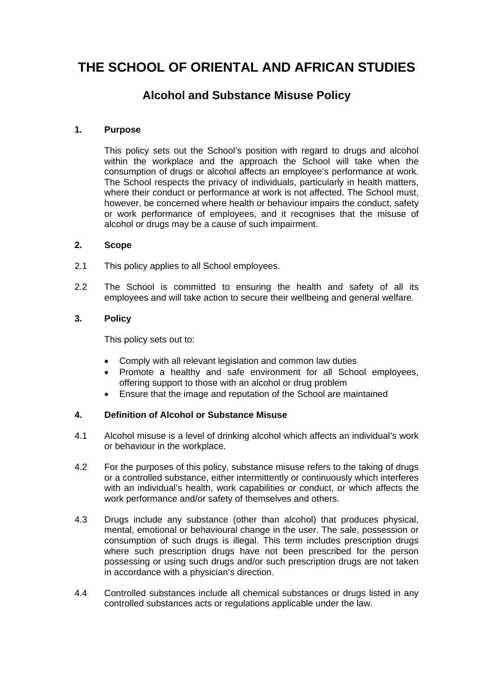# **THE SCHOOL OF ORIENTAL AND AFRICAN STUDIES**

# **Alcohol and Substance Misuse Policy**

# **1. Purpose**

This policy sets out the School's position with regard to drugs and alcohol within the workplace and the approach the School will take when the consumption of drugs or alcohol affects an employee's performance at work. The School respects the privacy of individuals, particularly in health matters, where their conduct or performance at work is not affected. The School must, however, be concerned where health or behaviour impairs the conduct, safety or work performance of employees, and it recognises that the misuse of alcohol or drugs may be a cause of such impairment.

# **2. Scope**

- 2.1 This policy applies to all School employees.
- 2.2 The School is committed to ensuring the health and safety of all its employees and will take action to secure their wellbeing and general welfare.

# **3. Policy**

This policy sets out to:

- Comply with all relevant legislation and common law duties
- Promote a healthy and safe environment for all School employees, offering support to those with an alcohol or drug problem
- Ensure that the image and reputation of the School are maintained

# **4. Definition of Alcohol or Substance Misuse**

- 4.1 Alcohol misuse is a level of drinking alcohol which affects an individual's work or behaviour in the workplace.
- 4.2 For the purposes of this policy, substance misuse refers to the taking of drugs or a controlled substance, either intermittently or continuously which interferes with an individual's health, work capabilities or conduct, or which affects the work performance and/or safety of themselves and others.
- 4.3 Drugs include any substance (other than alcohol) that produces physical, mental, emotional or behavioural change in the user. The sale, possession or consumption of such drugs is illegal. This term includes prescription drugs where such prescription drugs have not been prescribed for the person possessing or using such drugs and/or such prescription drugs are not taken in accordance with a physician's direction.
- 4.4 Controlled substances include all chemical substances or drugs listed in any controlled substances acts or regulations applicable under the law.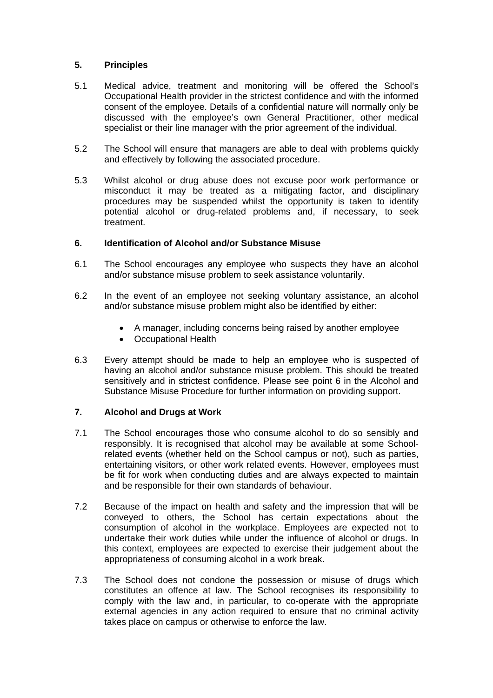#### **5. Principles**

- 5.1 Medical advice, treatment and monitoring will be offered the School's Occupational Health provider in the strictest confidence and with the informed consent of the employee. Details of a confidential nature will normally only be discussed with the employee's own General Practitioner, other medical specialist or their line manager with the prior agreement of the individual.
- 5.2 The School will ensure that managers are able to deal with problems quickly and effectively by following the associated procedure.
- 5.3 Whilst alcohol or drug abuse does not excuse poor work performance or misconduct it may be treated as a mitigating factor, and disciplinary procedures may be suspended whilst the opportunity is taken to identify potential alcohol or drug-related problems and, if necessary, to seek treatment.

#### **6. Identification of Alcohol and/or Substance Misuse**

- 6.1 The School encourages any employee who suspects they have an alcohol and/or substance misuse problem to seek assistance voluntarily.
- 6.2 In the event of an employee not seeking voluntary assistance, an alcohol and/or substance misuse problem might also be identified by either:
	- A manager, including concerns being raised by another employee
	- Occupational Health
- 6.3 Every attempt should be made to help an employee who is suspected of having an alcohol and/or substance misuse problem. This should be treated sensitively and in strictest confidence. Please see point 6 in the Alcohol and Substance Misuse Procedure for further information on providing support.

# **7. Alcohol and Drugs at Work**

- 7.1 The School encourages those who consume alcohol to do so sensibly and responsibly. It is recognised that alcohol may be available at some Schoolrelated events (whether held on the School campus or not), such as parties, entertaining visitors, or other work related events. However, employees must be fit for work when conducting duties and are always expected to maintain and be responsible for their own standards of behaviour.
- 7.2 Because of the impact on health and safety and the impression that will be conveyed to others, the School has certain expectations about the consumption of alcohol in the workplace. Employees are expected not to undertake their work duties while under the influence of alcohol or drugs. In this context, employees are expected to exercise their judgement about the appropriateness of consuming alcohol in a work break.
- 7.3 The School does not condone the possession or misuse of drugs which constitutes an offence at law. The School recognises its responsibility to comply with the law and, in particular, to co-operate with the appropriate external agencies in any action required to ensure that no criminal activity takes place on campus or otherwise to enforce the law.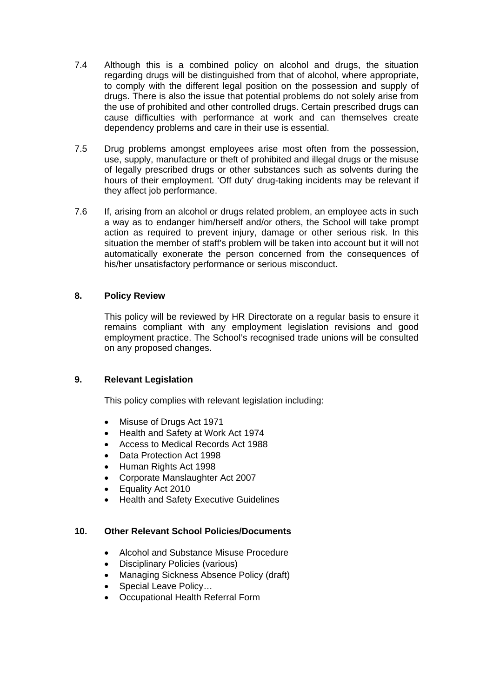- 7.4 Although this is a combined policy on alcohol and drugs, the situation regarding drugs will be distinguished from that of alcohol, where appropriate, to comply with the different legal position on the possession and supply of drugs. There is also the issue that potential problems do not solely arise from the use of prohibited and other controlled drugs. Certain prescribed drugs can cause difficulties with performance at work and can themselves create dependency problems and care in their use is essential.
- 7.5 Drug problems amongst employees arise most often from the possession, use, supply, manufacture or theft of prohibited and illegal drugs or the misuse of legally prescribed drugs or other substances such as solvents during the hours of their employment. 'Off duty' drug-taking incidents may be relevant if they affect job performance.
- 7.6 If, arising from an alcohol or drugs related problem, an employee acts in such a way as to endanger him/herself and/or others, the School will take prompt action as required to prevent injury, damage or other serious risk. In this situation the member of staff's problem will be taken into account but it will not automatically exonerate the person concerned from the consequences of his/her unsatisfactory performance or serious misconduct.

# **8. Policy Review**

This policy will be reviewed by HR Directorate on a regular basis to ensure it remains compliant with any employment legislation revisions and good employment practice. The School's recognised trade unions will be consulted on any proposed changes.

# **9. Relevant Legislation**

This policy complies with relevant legislation including:

- Misuse of Drugs Act 1971
- Health and Safety at Work Act 1974
- Access to Medical Records Act 1988
- Data Protection Act 1998
- Human Rights Act 1998
- Corporate Manslaughter Act 2007
- Equality Act 2010
- Health and Safety Executive Guidelines

# **10. Other Relevant School Policies/Documents**

- Alcohol and Substance Misuse Procedure
- Disciplinary Policies (various)
- Managing Sickness Absence Policy (draft)
- Special Leave Policy...
- Occupational Health Referral Form